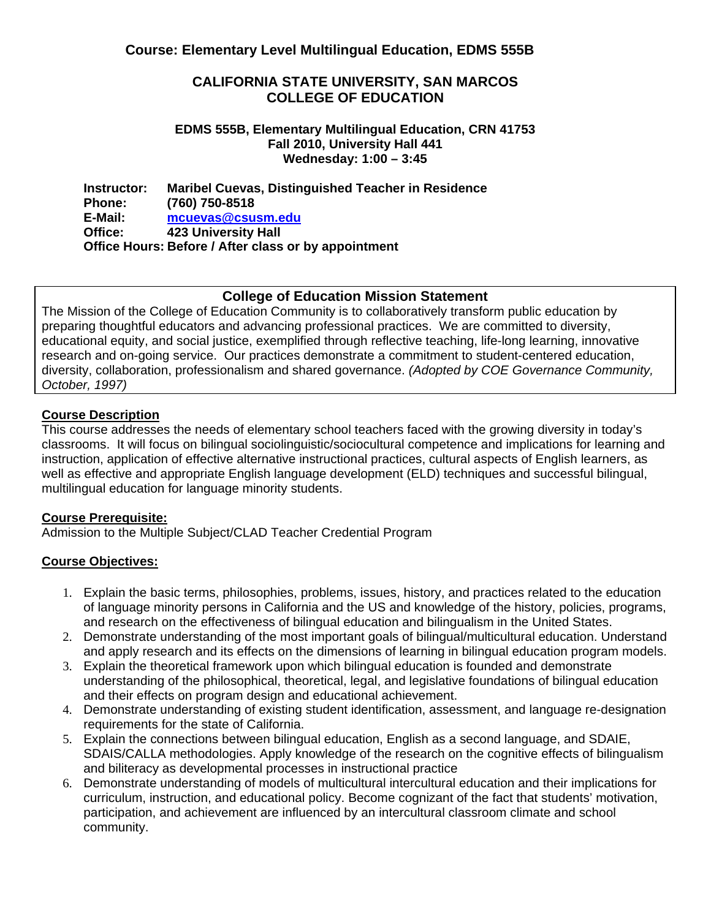#### **CALIFORNIA STATE UNIVERSITY, SAN MARCOS COLLEGE OF EDUCATION**

#### **EDMS 555B, Elementary Multilingual Education, CRN 41753 Fall 2010, University Hall 441 Wednesday: 1:00 – 3:45**

**Instructor: Phone: E-Mail: Office: Maribel Cuevas, Distinguished Teacher in Residence (760) 750-8518 mcuevas@csusm.edu 423 University Hall Office Hours: Before / After class or by appointment** 

## **College of Education Mission Statement**

The Mission of the College of Education Community is to collaboratively transform public education by preparing thoughtful educators and advancing professional practices. We are committed to diversity, educational equity, and social justice, exemplified through reflective teaching, life-long learning, innovative research and on-going service. Our practices demonstrate a commitment to student-centered education, diversity, collaboration, professionalism and shared governance. *(Adopted by COE Governance Community, October, 1997)*

### **Course Description**

 instruction, application of effective alternative instructional practices, cultural aspects of English learners, as This course addresses the needs of elementary school teachers faced with the growing diversity in today's classrooms. It will focus on bilingual sociolinguistic/sociocultural competence and implications for learning and well as effective and appropriate English language development (ELD) techniques and successful bilingual, multilingual education for language minority students.

#### **Course Prerequisite:**

Admission to the Multiple Subject/CLAD Teacher Credential Program

#### **Course Objectives:**

- and research on the effectiveness of bilingual education and bilingualism in the United States. 1. Explain the basic terms, philosophies, problems, issues, history, and practices related to the education of language minority persons in California and the US and knowledge of the history, policies, programs,
- and apply research and its effects on the dimensions of learning in bilingual education program models. 2. Demonstrate understanding of the most important goals of bilingual/multicultural education. Understand
- and their effects on program design and educational achievement. 3. Explain the theoretical framework upon which bilingual education is founded and demonstrate understanding of the philosophical, theoretical, legal, and legislative foundations of bilingual education
- requirements for the state of California. 4. Demonstrate understanding of existing student identification, assessment, and language re-designation
- and biliteracy as developmental processes in instructional practice 5. Explain the connections between bilingual education, English as a second language, and SDAIE, SDAIS/CALLA methodologies. Apply knowledge of the research on the cognitive effects of bilingualism
- community. 6. Demonstrate understanding of models of multicultural intercultural education and their implications for curriculum, instruction, and educational policy. Become cognizant of the fact that students' motivation, participation, and achievement are influenced by an intercultural classroom climate and school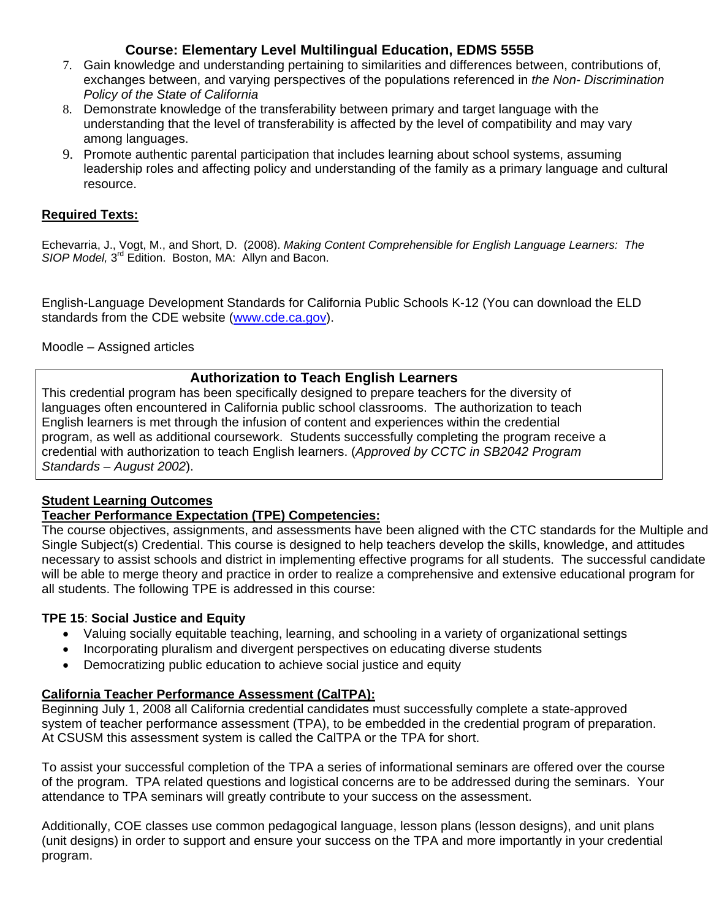- *Policy of the State of California* 7. Gain knowledge and understanding pertaining to similarities and differences between, contributions of, exchanges between, and varying perspectives of the populations referenced in *the Non- Discrimination*
- among languages. 8. Demonstrate knowledge of the transferability between primary and target language with the understanding that the level of transferability is affected by the level of compatibility and may vary
- resource. 9. Promote authentic parental participation that includes learning about school systems, assuming leadership roles and affecting policy and understanding of the family as a primary language and cultural

## **Required Texts:**

Echevarria, J., Vogt, M., and Short, D. (2008). *Making Content Comprehensible for English Language Learners: The SIOP Model,* 3rd Edition. Boston, MA: Allyn and Bacon.

English-Language Development Standards for California Public Schools K-12 (You can download the ELD standards from the CDE website (www.cde.ca.gov).

Moodle – Assigned articles

## **Authorization to Teach English Learners**

This credential program has been specifically designed to prepare teachers for the diversity of languages often encountered in California public school classrooms. The authorization to teach English learners is met through the infusion of content and experiences within the credential program, as well as additional coursework. Students successfully completing the program receive a credential with authorization to teach English learners. (*Approved by CCTC in SB2042 Program Standards – August 2002*).

# **Student Learning Outcomes**

## **Teacher Performance Expectation (TPE) Competencies:**

The course objectives, assignments, and assessments have been aligned with the CTC standards for the Multiple and Single Subject(s) Credential. This course is designed to help teachers develop the skills, knowledge, and attitudes necessary to assist schools and district in implementing effective programs for all students. The successful candidate will be able to merge theory and practice in order to realize a comprehensive and extensive educational program for all students. The following TPE is addressed in this course:

## **TPE 15**: **Social Justice and Equity**

- Valuing socially equitable teaching, learning, and schooling in a variety of organizational settings
- Incorporating pluralism and divergent perspectives on educating diverse students
- Democratizing public education to achieve social justice and equity

## **California Teacher Performance Assessment (CalTPA):**

system of teacher performance assessment (TPA), to be embedded in the credential program of preparation.<br>At CSUSM this assessment system is called the CalTPA or the TPA for short. Beginning July 1, 2008 all California credential candidates must successfully complete a state-approved

To assist your successful completion of the TPA a series of informational seminars are offered over the course of the program. TPA related questions and logistical concerns are to be addressed during the seminars. Your attendance to TPA seminars will greatly contribute to your success on the assessment.

Additionally, COE classes use common pedagogical language, lesson plans (lesson designs), and unit plans (unit designs) in order to support and ensure your success on the TPA and more importantly in your credential program.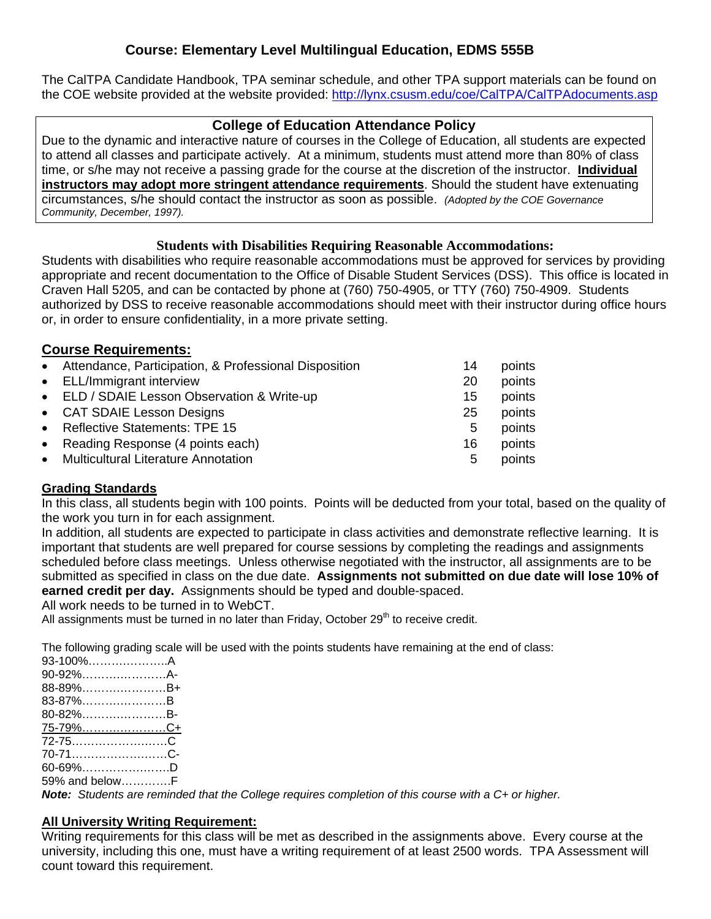The CalTPA Candidate Handbook, TPA seminar schedule, and other TPA support materials can be found on the COE website provided at the website provided: http://lynx.csusm.edu/coe/CalTPA/CalTPAdocuments.asp

# **College of Education Attendance Policy**

 circumstances, s/he should contact the instructor as soon as possible. *(Adopted by the COE Governance*  Due to the dynamic and interactive nature of courses in the College of Education, all students are expected to attend all classes and participate actively. At a minimum, students must attend more than 80% of class time, or s/he may not receive a passing grade for the course at the discretion of the instructor. **Individual instructors may adopt more stringent attendance requirements**. Should the student have extenuating *Community, December, 1997).* 

## **Students with Disabilities Requiring Reasonable Accommodations:**

Students with disabilities who require reasonable accommodations must be approved for services by providing appropriate and recent documentation to the Office of Disable Student Services (DSS). This office is located in Craven Hall 5205, and can be contacted by phone at (760) 750-4905, or TTY (760) 750-4909. Students authorized by DSS to receive reasonable accommodations should meet with their instructor during office hours or, in order to ensure confidentiality, in a more private setting.

# **Course Requirements:**

| • Attendance, Participation, & Professional Disposition | 14 | points |
|---------------------------------------------------------|----|--------|
| • ELL/Immigrant interview                               | 20 | points |
| • ELD / SDAIE Lesson Observation & Write-up             | 15 | points |
| • CAT SDAIE Lesson Designs                              | 25 | points |
| • Reflective Statements: TPE 15                         | 5  | points |
| • Reading Response (4 points each)                      | 16 | points |
| • Multicultural Literature Annotation                   | 5  | points |
|                                                         |    |        |

## **Grading Standards**

In this class, all students begin with 100 points. Points will be deducted from your total, based on the quality of the work you turn in for each assignment.

 submitted as specified in class on the due date. **Assignments not submitted on due date will lose 10% of**  In addition, all students are expected to participate in class activities and demonstrate reflective learning. It is important that students are well prepared for course sessions by completing the readings and assignments scheduled before class meetings. Unless otherwise negotiated with the instructor, all assignments are to be **earned credit per day.** Assignments should be typed and double-spaced.

All work needs to be turned in to WebCT.

All assignments must be turned in no later than Friday, October  $29<sup>th</sup>$  to receive credit.

The following grading scale will be used with the points students have remaining at the end of class:

| 93-100%A        |  |
|-----------------|--|
| 90-92%A-        |  |
| 88-89%B+        |  |
| 83-87%B         |  |
| 80-82%B-        |  |
| <u>75-79%C+</u> |  |
|                 |  |
| 70-71C-         |  |
| 60-69%D         |  |
| 59% and belowF  |  |

*Note: Students are reminded that the College requires completion of this course with a C+ or higher.* 

## **All University Writing Requirement:**

Writing requirements for this class will be met as described in the assignments above. Every course at the university, including this one, must have a writing requirement of at least 2500 words. TPA Assessment will count toward this requirement.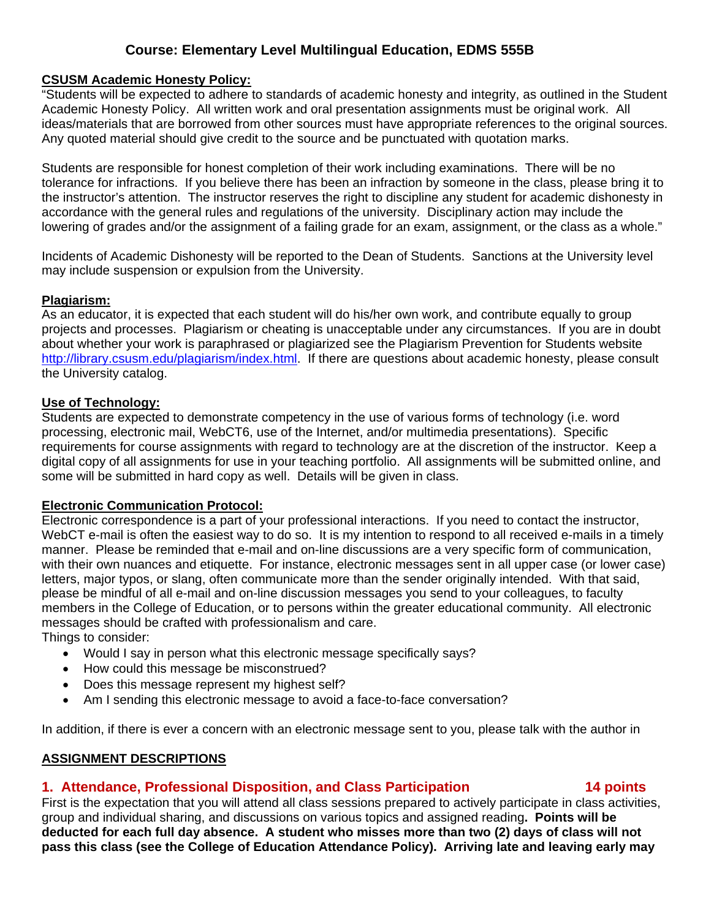#### **CSUSM Academic Honesty Policy:**

"Students will be expected to adhere to standards of academic honesty and integrity, as outlined in the Student Academic Honesty Policy. All written work and oral presentation assignments must be original work. All ideas/materials that are borrowed from other sources must have appropriate references to the original sources. Any quoted material should give credit to the source and be punctuated with quotation marks.

Students are responsible for honest completion of their work including examinations. There will be no tolerance for infractions. If you believe there has been an infraction by someone in the class, please bring it to the instructor's attention. The instructor reserves the right to discipline any student for academic dishonesty in accordance with the general rules and regulations of the university. Disciplinary action may include the lowering of grades and/or the assignment of a failing grade for an exam, assignment, or the class as a whole."

Incidents of Academic Dishonesty will be reported to the Dean of Students. Sanctions at the University level may include suspension or expulsion from the University.

#### **Plagiarism:**

As an educator, it is expected that each student will do his/her own work, and contribute equally to group projects and processes. Plagiarism or cheating is unacceptable under any circumstances. If you are in doubt about whether your work is paraphrased or plagiarized see the Plagiarism Prevention for Students website http://library.csusm.edu/plagiarism/index.html. If there are questions about academic honesty, please consult the University catalog.

#### **Use of Technology:**

Students are expected to demonstrate competency in the use of various forms of technology (i.e. word processing, electronic mail, WebCT6, use of the Internet, and/or multimedia presentations). Specific requirements for course assignments with regard to technology are at the discretion of the instructor. Keep a digital copy of all assignments for use in your teaching portfolio. All assignments will be submitted online, and some will be submitted in hard copy as well. Details will be given in class.

#### **Electronic Communication Protocol:**

Electronic correspondence is a part of your professional interactions. If you need to contact the instructor, WebCT e-mail is often the easiest way to do so. It is my intention to respond to all received e-mails in a timely manner. Please be reminded that e-mail and on-line discussions are a very specific form of communication, with their own nuances and etiquette. For instance, electronic messages sent in all upper case (or lower case) letters, major typos, or slang, often communicate more than the sender originally intended. With that said, please be mindful of all e-mail and on-line discussion messages you send to your colleagues, to faculty members in the College of Education, or to persons within the greater educational community. All electronic messages should be crafted with professionalism and care.

Things to consider:

- Would I say in person what this electronic message specifically says?
- How could this message be misconstrued?
- Does this message represent my highest self?
- Am I sending this electronic message to avoid a face-to-face conversation?

In addition, if there is ever a concern with an electronic message sent to you, please talk with the author in

#### **ASSIGNMENT DESCRIPTIONS**

# **1. Attendance, Professional Disposition, and Class Participation 14 points**

#### First is the expectation that you will attend all class sessions prepared to actively participate in class activities, group and individual sharing, and discussions on various topics and assigned reading**. Points will be deducted for each full day absence. A student who misses more than two (2) days of class will not pass this class (see the College of Education Attendance Policy). Arriving late and leaving early may**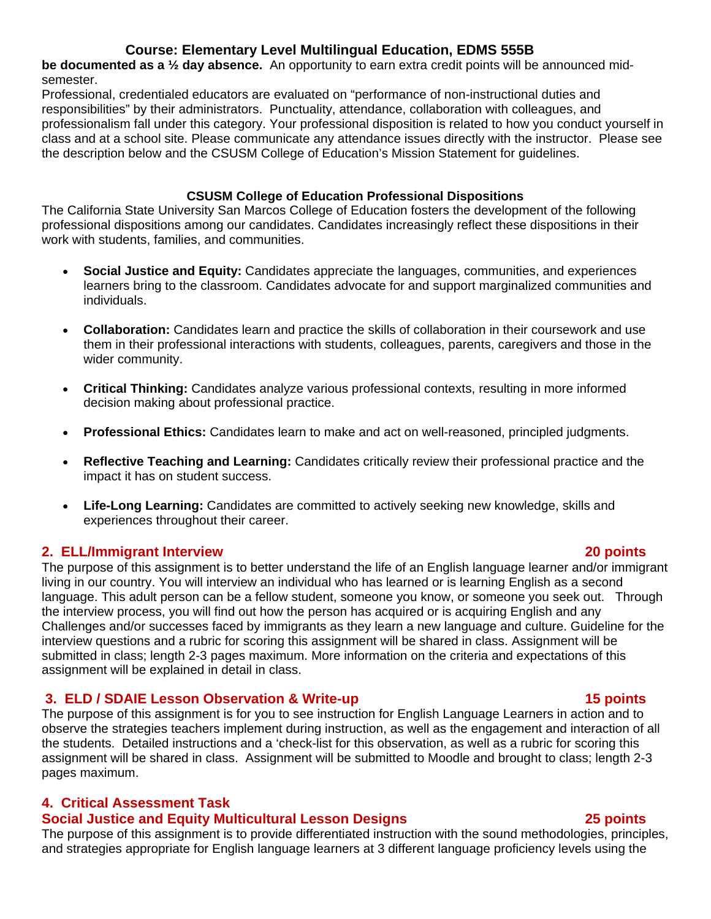**be documented as a ½ day absence.** An opportunity to earn extra credit points will be announced midsemester.

 the description below and the CSUSM College of Education's Mission Statement for guidelines. Professional, credentialed educators are evaluated on "performance of non-instructional duties and responsibilities" by their administrators. Punctuality, attendance, collaboration with colleagues, and professionalism fall under this category. Your professional disposition is related to how you conduct yourself in class and at a school site. Please communicate any attendance issues directly with the instructor. Please see

### **CSUSM College of Education Professional Dispositions**

The California State University San Marcos College of Education fosters the development of the following professional dispositions among our candidates. Candidates increasingly reflect these dispositions in their work with students, families, and communities.

- **Social Justice and Equity:** Candidates appreciate the languages, communities, and experiences learners bring to the classroom. Candidates advocate for and support marginalized communities and individuals.
- **Collaboration:** Candidates learn and practice the skills of collaboration in their coursework and use them in their professional interactions with students, colleagues, parents, caregivers and those in the wider community.
- **Critical Thinking:** Candidates analyze various professional contexts, resulting in more informed decision making about professional practice.
- **Professional Ethics:** Candidates learn to make and act on well-reasoned, principled judgments.
- **Reflective Teaching and Learning:** Candidates critically review their professional practice and the impact it has on student success.
- experiences throughout their career. **Life-Long Learning:** Candidates are committed to actively seeking new knowledge, skills and

## **2. ELL/Immigrant Interview 20 points**

The purpose of this assignment is to better understand the life of an English language learner and/or immigrant living in our country. You will interview an individual who has learned or is learning English as a second language. This adult person can be a fellow student, someone you know, or someone you seek out. Through the interview process, you will find out how the person has acquired or is acquiring English and any Challenges and/or successes faced by immigrants as they learn a new language and culture. Guideline for the interview questions and a rubric for scoring this assignment will be shared in class. Assignment will be submitted in class; length 2-3 pages maximum. More information on the criteria and expectations of this assignment will be explained in detail in class.

# **3. ELD / SDAIE Lesson Observation & Write-up 15 points**

The purpose of this assignment is for you to see instruction for English Language Learners in action and to observe the strategies teachers implement during instruction, as well as the engagement and interaction of all the students. Detailed instructions and a 'check-list for this observation, as well as a rubric for scoring this assignment will be shared in class. Assignment will be submitted to Moodle and brought to class; length 2-3 pages maximum.

# **4. Critical Assessment Task**

# **Social Justice and Equity Multicultural Lesson Designs 1998 18 and 25 points 1998 18 and 25 points**

The purpose of this assignment is to provide differentiated instruction with the sound methodologies, principles, and strategies appropriate for English language learners at 3 different language proficiency levels using the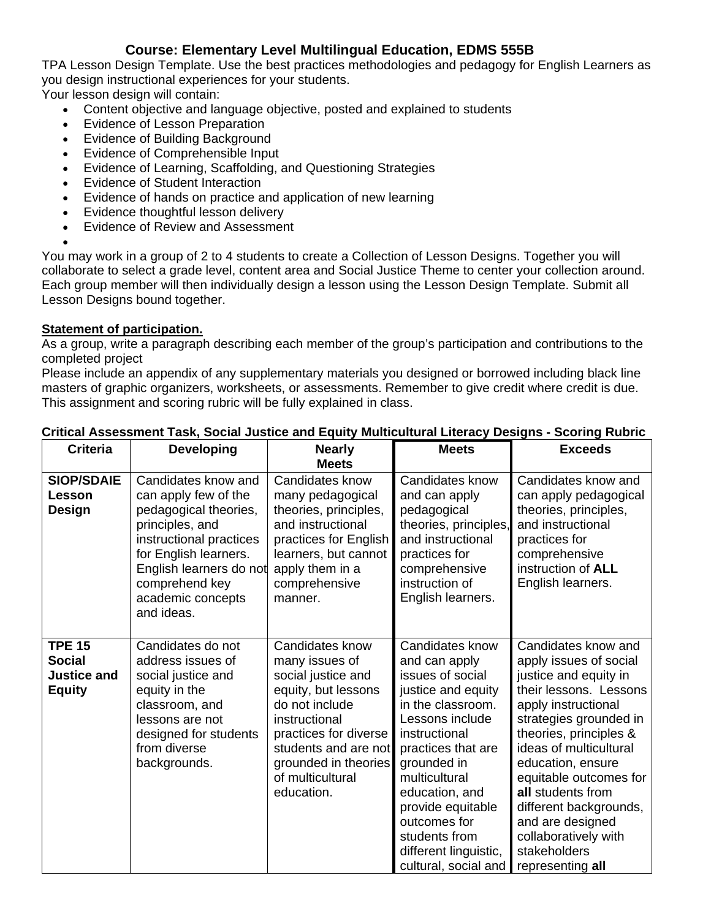TPA Lesson Design Template. Use the best practices methodologies and pedagogy for English Learners as you design instructional experiences for your students.

Your lesson design will contain:

- Content objective and language objective, posted and explained to students
- Evidence of Lesson Preparation
- Evidence of Building Background
- Evidence of Comprehensible Input
- Evidence of Learning, Scaffolding, and Questioning Strategies
- Evidence of Student Interaction
- Evidence of hands on practice and application of new learning
- Evidence thoughtful lesson delivery
- Evidence of Review and Assessment

You may work in a group of 2 to 4 students to create a Collection of Lesson Designs. Together you will collaborate to select a grade level, content area and Social Justice Theme to center your collection around. Each group member will then individually design a lesson using the Lesson Design Template. Submit all Lesson Designs bound together.

#### **Statement of participation.**

 $\bullet$ 

As a group, write a paragraph describing each member of the group's participation and contributions to the completed project

 This assignment and scoring rubric will be fully explained in class. Please include an appendix of any supplementary materials you designed or borrowed including black line masters of graphic organizers, worksheets, or assessments. Remember to give credit where credit is due.

| <b>Criteria</b>                                                       | <b>Developing</b>                                                                                                                                                                                                           | <b>Nearly</b><br><b>Meets</b>                                                                                                                                                                                                | <b>Meets</b>                                                                                                                                                                                                                                                                                                       | <b>Exceeds</b>                                                                                                                                                                                                                                                                                                                                                                      |
|-----------------------------------------------------------------------|-----------------------------------------------------------------------------------------------------------------------------------------------------------------------------------------------------------------------------|------------------------------------------------------------------------------------------------------------------------------------------------------------------------------------------------------------------------------|--------------------------------------------------------------------------------------------------------------------------------------------------------------------------------------------------------------------------------------------------------------------------------------------------------------------|-------------------------------------------------------------------------------------------------------------------------------------------------------------------------------------------------------------------------------------------------------------------------------------------------------------------------------------------------------------------------------------|
| <b>SIOP/SDAIE</b><br><b>Lesson</b><br>Design                          | Candidates know and<br>can apply few of the<br>pedagogical theories,<br>principles, and<br>instructional practices<br>for English learners.<br>English learners do not<br>comprehend key<br>academic concepts<br>and ideas. | Candidates know<br>many pedagogical<br>theories, principles,<br>and instructional<br>practices for English<br>learners, but cannot<br>apply them in a<br>comprehensive<br>manner.                                            | Candidates know<br>and can apply<br>pedagogical<br>theories, principles,<br>and instructional<br>practices for<br>comprehensive<br>instruction of<br>English learners.                                                                                                                                             | Candidates know and<br>can apply pedagogical<br>theories, principles,<br>and instructional<br>practices for<br>comprehensive<br>instruction of <b>ALL</b><br>English learners.                                                                                                                                                                                                      |
| <b>TPE 15</b><br><b>Social</b><br><b>Justice and</b><br><b>Equity</b> | Candidates do not<br>address issues of<br>social justice and<br>equity in the<br>classroom, and<br>lessons are not<br>designed for students<br>from diverse<br>backgrounds.                                                 | Candidates know<br>many issues of<br>social justice and<br>equity, but lessons<br>do not include<br>instructional<br>practices for diverse<br>students and are not<br>grounded in theories<br>of multicultural<br>education. | Candidates know<br>and can apply<br>issues of social<br>justice and equity<br>in the classroom.<br>Lessons include<br>instructional<br>practices that are<br>grounded in<br>multicultural<br>education, and<br>provide equitable<br>outcomes for<br>students from<br>different linguistic,<br>cultural, social and | Candidates know and<br>apply issues of social<br>justice and equity in<br>their lessons. Lessons<br>apply instructional<br>strategies grounded in<br>theories, principles &<br>ideas of multicultural<br>education, ensure<br>equitable outcomes for<br>all students from<br>different backgrounds,<br>and are designed<br>collaboratively with<br>stakeholders<br>representing all |

### **Critical Assessment Task, Social Justice and Equity Multicultural Literacy Designs - Scoring Rubric**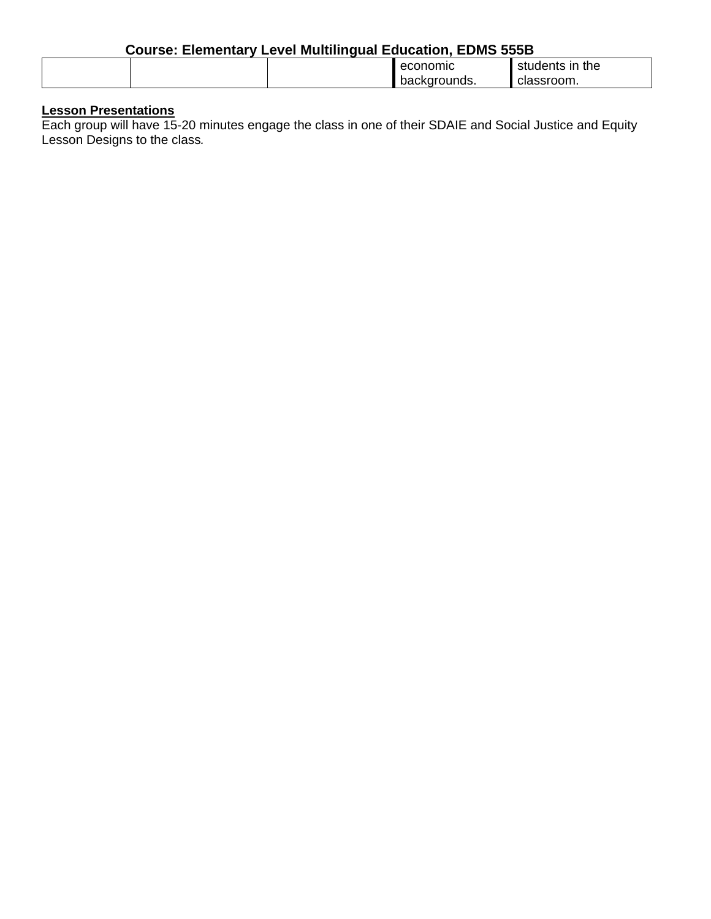| <b>Course: Elementary Level Multilingual Education, EDMS 555B</b> |  |  |              |                 |
|-------------------------------------------------------------------|--|--|--------------|-----------------|
|                                                                   |  |  | economic     | students in the |
|                                                                   |  |  | backgrounds. | classroom.      |

# **Lesson Presentations**

Each group will have 15-20 minutes engage the class in one of their SDAIE and Social Justice and Equity Lesson Designs to the class*.*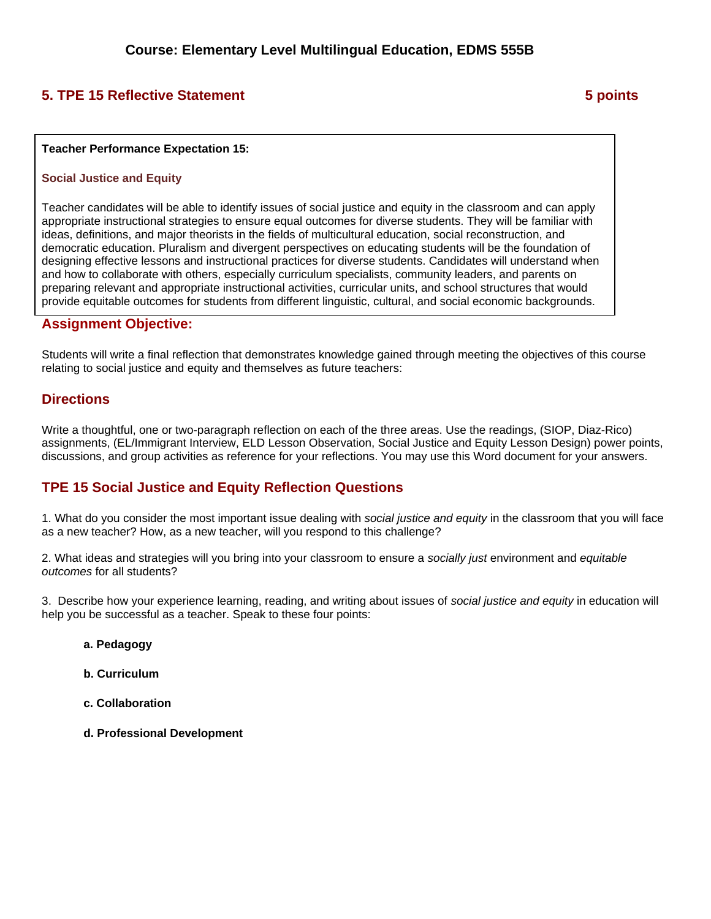# **5. TPE 15 Reflective Statement 6 and 5 points 3 points 3 points 3 points 3 points 3 points 3 points 3 points 3 points 3 points 3 points 3 points 3 points 3 points 3 points 3 points 3 points 3 points 3 points 3 points 3 po**

#### **Teacher Performance Expectation 15:**

#### **Social Justice and Equity**

Teacher candidates will be able to identify issues of social justice and equity in the classroom and can apply appropriate instructional strategies to ensure equal outcomes for diverse students. They will be familiar with ideas, definitions, and major theorists in the fields of multicultural education, social reconstruction, and democratic education. Pluralism and divergent perspectives on educating students will be the foundation of designing effective lessons and instructional practices for diverse students. Candidates will understand when and how to collaborate with others, especially curriculum specialists, community leaders, and parents on preparing relevant and appropriate instructional activities, curricular units, and school structures that would provide equitable outcomes for students from different linguistic, cultural, and social economic backgrounds.

#### **Assignment Objective:**

Students will write a final reflection that demonstrates knowledge gained through meeting the objectives of this course relating to social justice and equity and themselves as future teachers:

#### **Directions**

Write a thoughtful, one or two-paragraph reflection on each of the three areas. Use the readings, (SIOP, Diaz-Rico) assignments, (EL/Immigrant Interview, ELD Lesson Observation, Social Justice and Equity Lesson Design) power points, discussions, and group activities as reference for your reflections. You may use this Word document for your answers.

## **TPE 15 Social Justice and Equity Reflection Questions**

1. What do you consider the most important issue dealing with *social justice and equity* in the classroom that you will face as a new teacher? How, as a new teacher, will you respond to this challenge?

2. What ideas and strategies will you bring into your classroom to ensure a *socially just* environment and *equitable outcomes* for all students?

3. Describe how your experience learning, reading, and writing about issues of *social justice and equity* in education will help you be successful as a teacher. Speak to these four points:

- **a. Pedagogy**
- **b. Curriculum**
- **c. Collaboration**
- **d. Professional Development**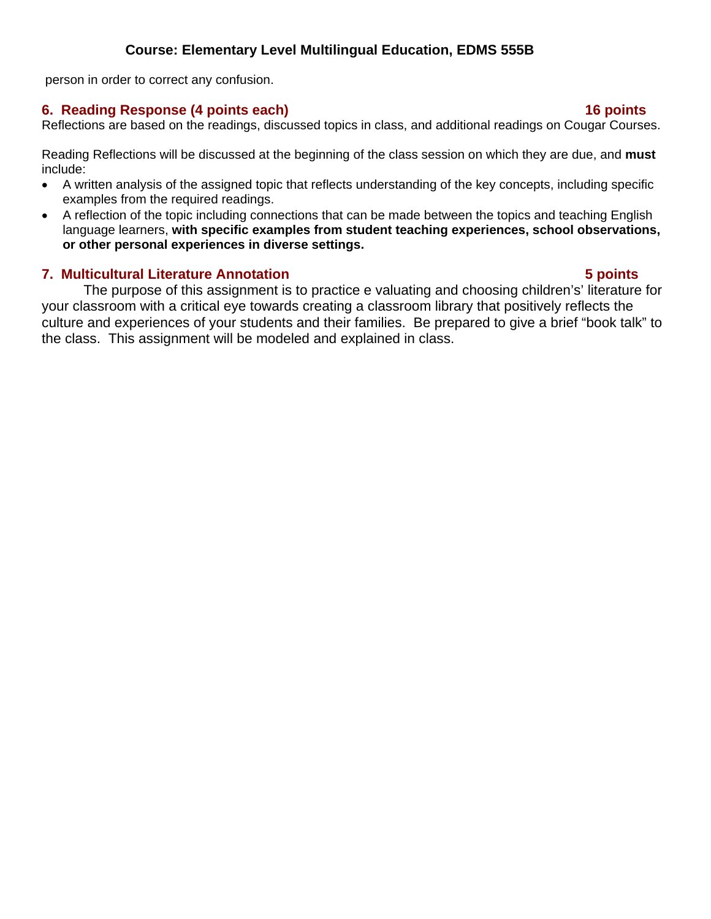person in order to correct any confusion.

## **6. Reading Response (4 points each) 16 points**

## Reflections are based on the readings, discussed topics in class, and additional readings on Cougar Courses.

Reading Reflections will be discussed at the beginning of the class session on which they are due, and **must**  include:

- A written analysis of the assigned topic that reflects understanding of the key concepts, including specific examples from the required readings.
- A reflection of the topic including connections that can be made between the topics and teaching English language learners, **with specific examples from student teaching experiences, school observations, or other personal experiences in diverse settings.**

## **7. Multicultural Literature Annotation 5 points**

The purpose of this assignment is to practice e valuating and choosing children's' literature for your classroom with a critical eye towards creating a classroom library that positively reflects the culture and experiences of your students and their families. Be prepared to give a brief "book talk" to the class. This assignment will be modeled and explained in class.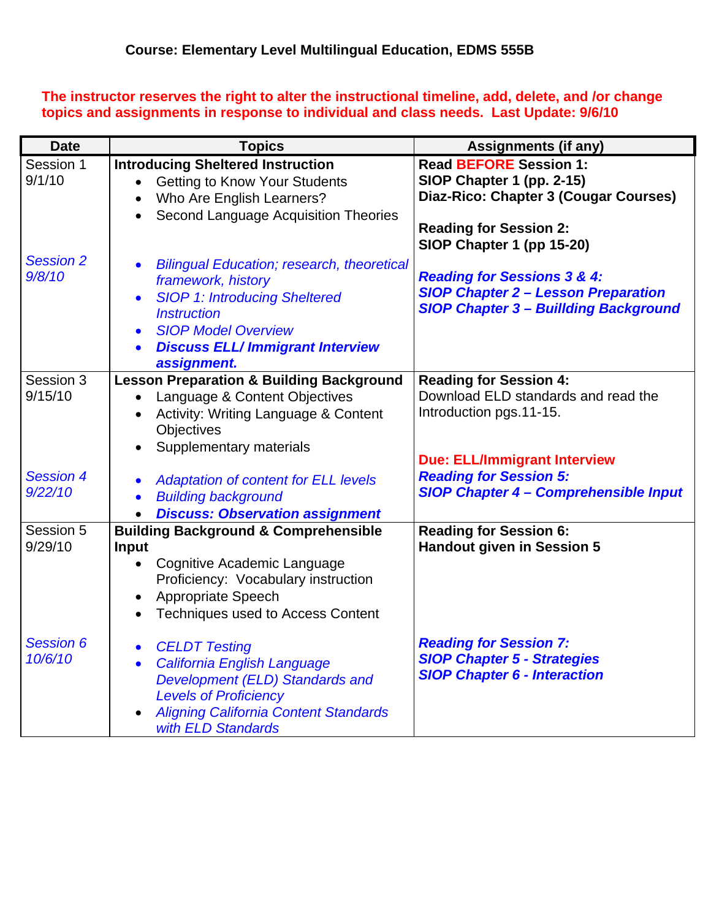**The instructor reserves the right to alter the instructional timeline, add, delete, and /or change topics and assignments in response to individual and class needs. Last Update: 9/6/10** 

| <b>Date</b>                 | <b>Topics</b>                                                                                                                                                                                                                                                                    | <b>Assignments (if any)</b>                                                                                                                                       |
|-----------------------------|----------------------------------------------------------------------------------------------------------------------------------------------------------------------------------------------------------------------------------------------------------------------------------|-------------------------------------------------------------------------------------------------------------------------------------------------------------------|
| Session 1<br>9/1/10         | <b>Introducing Sheltered Instruction</b><br><b>Getting to Know Your Students</b><br>Who Are English Learners?<br>Second Language Acquisition Theories<br>$\bullet$                                                                                                               | <b>Read BEFORE Session 1:</b><br>SIOP Chapter 1 (pp. 2-15)<br>Diaz-Rico: Chapter 3 (Cougar Courses)<br><b>Reading for Session 2:</b><br>SIOP Chapter 1 (pp 15-20) |
| <b>Session 2</b><br>9/8/10  | <b>Bilingual Education; research, theoretical</b><br>$\bullet$<br>framework, history<br><b>SIOP 1: Introducing Sheltered</b><br>$\bullet$<br><b>Instruction</b><br><b>SIOP Model Overview</b><br>$\bullet$<br><b>Discuss ELL/Immigrant Interview</b><br>$\bullet$<br>assignment. | <b>Reading for Sessions 3 &amp; 4:</b><br><b>SIOP Chapter 2 - Lesson Preparation</b><br><b>SIOP Chapter 3 - Buillding Background</b>                              |
| Session 3<br>9/15/10        | <b>Lesson Preparation &amp; Building Background</b><br>Language & Content Objectives<br>$\bullet$<br>Activity: Writing Language & Content<br>Objectives<br>Supplementary materials                                                                                               | <b>Reading for Session 4:</b><br>Download ELD standards and read the<br>Introduction pgs.11-15.                                                                   |
| <b>Session 4</b><br>9/22/10 | <b>Adaptation of content for ELL levels</b><br>$\bullet$<br><b>Building background</b><br>$\bullet$<br><b>Discuss: Observation assignment</b>                                                                                                                                    | <b>Due: ELL/Immigrant Interview</b><br><b>Reading for Session 5:</b><br><b>SIOP Chapter 4 - Comprehensible Input</b>                                              |
| Session 5<br>9/29/10        | <b>Building Background &amp; Comprehensible</b><br>Input<br>Cognitive Academic Language<br>$\bullet$<br>Proficiency: Vocabulary instruction<br>Appropriate Speech<br>$\bullet$<br><b>Techniques used to Access Content</b><br>$\bullet$                                          | <b>Reading for Session 6:</b><br><b>Handout given in Session 5</b>                                                                                                |
| <b>Session 6</b><br>10/6/10 | <b>CELDT Testing</b><br>$\bullet$<br>California English Language<br>$\bullet$<br>Development (ELD) Standards and<br><b>Levels of Proficiency</b><br><b>Aligning California Content Standards</b><br>with ELD Standards                                                           | <b>Reading for Session 7:</b><br><b>SIOP Chapter 5 - Strategies</b><br><b>SIOP Chapter 6 - Interaction</b>                                                        |